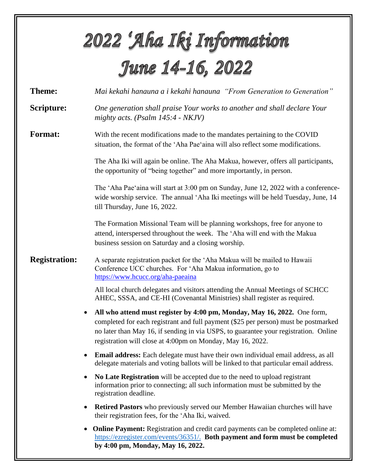|                      | 2022 'Aha Iki Information                                                                                                                                                                                                                                                                                             |  |  |  |  |
|----------------------|-----------------------------------------------------------------------------------------------------------------------------------------------------------------------------------------------------------------------------------------------------------------------------------------------------------------------|--|--|--|--|
| June 14-16, 2022     |                                                                                                                                                                                                                                                                                                                       |  |  |  |  |
| <b>Theme:</b>        | Mai kekahi hanauna a i kekahi hanauna "From Generation to Generation"                                                                                                                                                                                                                                                 |  |  |  |  |
| Scripture:           | One generation shall praise Your works to another and shall declare Your<br>mighty acts. (Psalm $145:4$ - NKJV)                                                                                                                                                                                                       |  |  |  |  |
| <b>Format:</b>       | With the recent modifications made to the mandates pertaining to the COVID<br>situation, the format of the 'Aha Pae'aina will also reflect some modifications.                                                                                                                                                        |  |  |  |  |
|                      | The Aha Iki will again be online. The Aha Makua, however, offers all participants,<br>the opportunity of "being together" and more importantly, in person.                                                                                                                                                            |  |  |  |  |
|                      | The 'Aha Pae'aina will start at 3:00 pm on Sunday, June 12, 2022 with a conference-<br>wide worship service. The annual 'Aha Iki meetings will be held Tuesday, June, 14<br>till Thursday, June 16, 2022.                                                                                                             |  |  |  |  |
|                      | The Formation Missional Team will be planning workshops, free for anyone to<br>attend, interspersed throughout the week. The 'Aha will end with the Makua<br>business session on Saturday and a closing worship.                                                                                                      |  |  |  |  |
| <b>Registration:</b> | A separate registration packet for the 'Aha Makua will be mailed to Hawaii<br>Conference UCC churches. For 'Aha Makua information, go to<br>https://www.hcucc.org/aha-paeaina                                                                                                                                         |  |  |  |  |
|                      | All local church delegates and visitors attending the Annual Meetings of SCHCC<br>AHEC, SSSA, and CE-HI (Covenantal Ministries) shall register as required.                                                                                                                                                           |  |  |  |  |
|                      | All who attend must register by 4:00 pm, Monday, May 16, 2022. One form,<br>completed for each registrant and full payment (\$25 per person) must be postmarked<br>no later than May 16, if sending in via USPS, to guarantee your registration. Online<br>registration will close at 4:00pm on Monday, May 16, 2022. |  |  |  |  |
|                      | <b>Email address:</b> Each delegate must have their own individual email address, as all<br>٠<br>delegate materials and voting ballots will be linked to that particular email address.                                                                                                                               |  |  |  |  |
|                      | No Late Registration will be accepted due to the need to upload registrant<br>information prior to connecting; all such information must be submitted by the<br>registration deadline.                                                                                                                                |  |  |  |  |
|                      | <b>Retired Pastors</b> who previously served our Member Hawaiian churches will have<br>$\bullet$<br>their registration fees, for the 'Aha Iki, waived.                                                                                                                                                                |  |  |  |  |
|                      | <b>Online Payment:</b> Registration and credit card payments can be completed online at:<br>$\bullet$<br>https://ezregister.com/events/36351/. Both payment and form must be completed<br>by 4:00 pm, Monday, May 16, 2022.                                                                                           |  |  |  |  |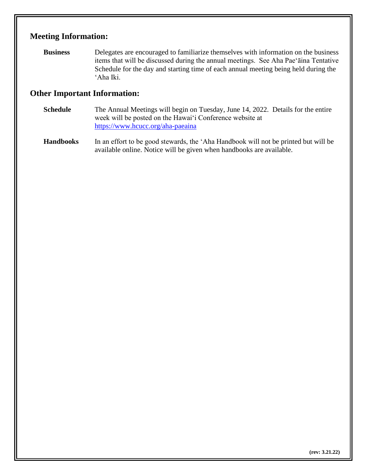## **Meeting Information:**

**Business** Delegates are encouraged to familiarize themselves with information on the business items that will be discussed during the annual meetings. See Aha Pae'āina Tentative Schedule for the day and starting time of each annual meeting being held during the 'Aha Iki.

## **Other Important Information:**

- **Schedule** The Annual Meetings will begin on Tuesday, June 14, 2022. Details for the entire week will be posted on the Hawai'i Conference website at https://www.hcucc.org/aha-paeaina
- **Handbooks** In an effort to be good stewards, the 'Aha Handbook will not be printed but will be available online. Notice will be given when handbooks are available.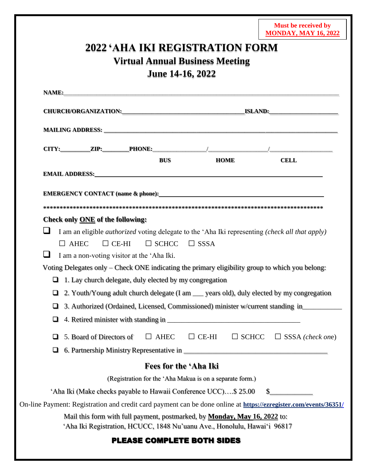|                                         |                                                                 |                                                                                                                                                                                                                                     | <b>Must be received by</b><br><b>MONDAY, MAY 16, 2022</b> |  |
|-----------------------------------------|-----------------------------------------------------------------|-------------------------------------------------------------------------------------------------------------------------------------------------------------------------------------------------------------------------------------|-----------------------------------------------------------|--|
|                                         |                                                                 | <b>2022 'AHA IKI REGISTRATION FORM</b>                                                                                                                                                                                              |                                                           |  |
|                                         | <b>Virtual Annual Business Meeting</b>                          |                                                                                                                                                                                                                                     |                                                           |  |
|                                         | June 14-16, 2022                                                |                                                                                                                                                                                                                                     |                                                           |  |
|                                         |                                                                 |                                                                                                                                                                                                                                     |                                                           |  |
|                                         |                                                                 |                                                                                                                                                                                                                                     |                                                           |  |
|                                         |                                                                 |                                                                                                                                                                                                                                     |                                                           |  |
|                                         |                                                                 |                                                                                                                                                                                                                                     |                                                           |  |
|                                         | <b>BUS</b>                                                      | HOME                                                                                                                                                                                                                                | <b>CELL</b>                                               |  |
|                                         |                                                                 | <b>EMAIL ADDRESS:</b> No. 2006. The CONSTRUCTION OF THE CONSTRUCTION OF THE CONSTRUCTION OF THE CONSTRUCTION OF THE CONSTRUCTION OF THE CONSTRUCTION OF THE CONSTRUCTION OF THE CONSTRUCTION OF THE CONSTRUCTION OF THE CONSTRUCTIO |                                                           |  |
|                                         |                                                                 |                                                                                                                                                                                                                                     |                                                           |  |
|                                         |                                                                 |                                                                                                                                                                                                                                     |                                                           |  |
|                                         |                                                                 |                                                                                                                                                                                                                                     |                                                           |  |
| Check only <b>ONE</b> of the following: |                                                                 |                                                                                                                                                                                                                                     |                                                           |  |
|                                         |                                                                 | I am an eligible <i>authorized</i> voting delegate to the 'Aha Iki representing (check all that apply)                                                                                                                              |                                                           |  |
| $\Box$ AHEC                             | $\Box$ SCHCC<br>$\Box$ CE-HI                                    | $\Box$ SSSA                                                                                                                                                                                                                         |                                                           |  |
|                                         | I am a non-voting visitor at the 'Aha Iki.                      |                                                                                                                                                                                                                                     |                                                           |  |
|                                         |                                                                 | Voting Delegates only – Check ONE indicating the primary eligibility group to which you belong:                                                                                                                                     |                                                           |  |
|                                         | $\Box$ 1. Lay church delegate, duly elected by my congregation  |                                                                                                                                                                                                                                     |                                                           |  |
| u                                       |                                                                 | 2. Youth/Young adult church delegate (I am ___ years old), duly elected by my congregation                                                                                                                                          |                                                           |  |
| □                                       |                                                                 | 3. Authorized (Ordained, Licensed, Commissioned) minister w/current standing in_________                                                                                                                                            |                                                           |  |
| ❏                                       |                                                                 |                                                                                                                                                                                                                                     |                                                           |  |
| 5. Board of Directors of<br>u           | $\Box$ AHEC                                                     | $\Box$ CE-HI                                                                                                                                                                                                                        | $\Box$ SCHCC $\Box$ SSSA (check one)                      |  |
| □                                       |                                                                 |                                                                                                                                                                                                                                     |                                                           |  |
|                                         | Fees for the 'Aha Iki                                           |                                                                                                                                                                                                                                     |                                                           |  |
|                                         |                                                                 |                                                                                                                                                                                                                                     |                                                           |  |
|                                         |                                                                 |                                                                                                                                                                                                                                     |                                                           |  |
|                                         | (Registration for the 'Aha Makua is on a separate form.)        |                                                                                                                                                                                                                                     |                                                           |  |
|                                         | 'Aha Iki (Make checks payable to Hawaii Conference UCC)\$ 25.00 |                                                                                                                                                                                                                                     | $\sim$                                                    |  |
|                                         |                                                                 | On-line Payment: Registration and credit card payment can be done online at https://ezregister.com/events/36351/                                                                                                                    |                                                           |  |
|                                         |                                                                 | Mail this form with full payment, postmarked, by <b>Monday, May 16, 2022</b> to:<br>'Aha Iki Registration, HCUCC, 1848 Nu'uanu Ave., Honolulu, Hawai'i 96817                                                                        |                                                           |  |